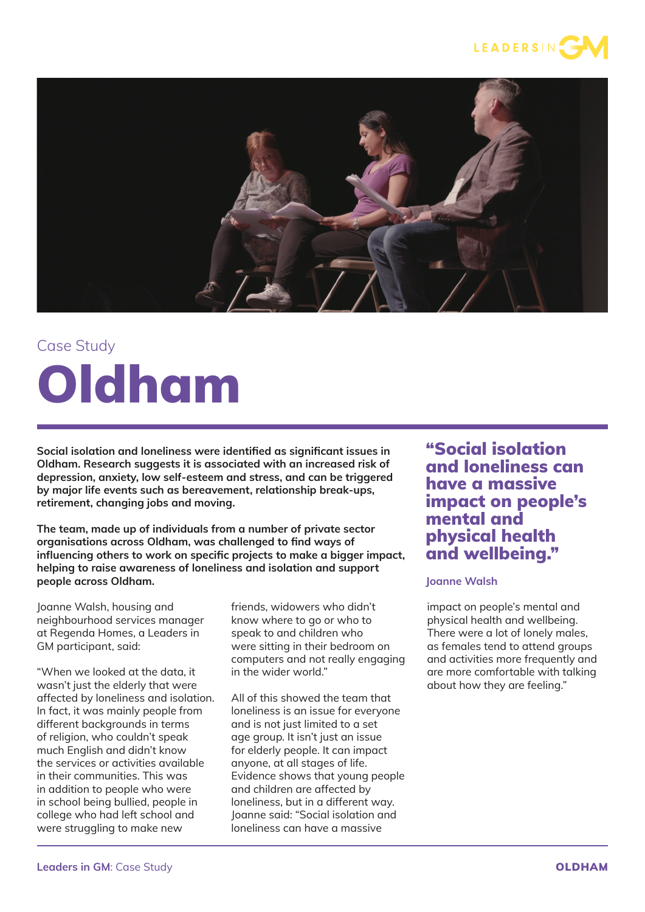



## Case Study Oldham

**Social isolation and loneliness were identified as significant issues in Oldham. Research suggests it is associated with an increased risk of depression, anxiety, low self-esteem and stress, and can be triggered by major life events such as bereavement, relationship break-ups, retirement, changing jobs and moving.**

**The team, made up of individuals from a number of private sector organisations across Oldham, was challenged to find ways of influencing others to work on specific projects to make a bigger impact, helping to raise awareness of loneliness and isolation and support people across Oldham.**

Joanne Walsh, housing and neighbourhood services manager at Regenda Homes, a Leaders in GM participant, said:

"When we looked at the data, it wasn't just the elderly that were affected by loneliness and isolation. In fact, it was mainly people from different backgrounds in terms of religion, who couldn't speak much English and didn't know the services or activities available in their communities. This was in addition to people who were in school being bullied, people in college who had left school and were struggling to make new

friends, widowers who didn't know where to go or who to speak to and children who were sitting in their bedroom on computers and not really engaging in the wider world."

All of this showed the team that loneliness is an issue for everyone and is not just limited to a set age group. It isn't just an issue for elderly people. It can impact anyone, at all stages of life. Evidence shows that young people and children are affected by loneliness, but in a different way. Joanne said: "Social isolation and loneliness can have a massive

"Social isolation and loneliness can have a massive impact on people's mental and physical health and wellbeing."

## **Joanne Walsh**

impact on people's mental and physical health and wellbeing. .<br>There were a lot of lonely males. as females tend to attend groups and activities more frequently and are more comfortable with talking about how they are feeling."